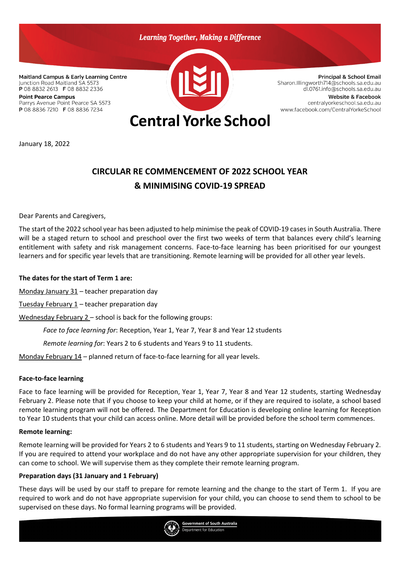

January 18, 2022

# **CIRCULAR RE COMMENCEMENT OF 2022 SCHOOL YEAR & MINIMISING COVID-19 SPREAD**

Dear Parents and Caregivers,

The start of the 2022 school year has been adjusted to help minimise the peak of COVID-19 cases in South Australia. There will be a staged return to school and preschool over the first two weeks of term that balances every child's learning entitlement with safety and risk management concerns. Face-to-face learning has been prioritised for our youngest learners and for specific year levels that are transitioning. Remote learning will be provided for all other year levels.

#### **The dates for the start of Term 1 are:**

Monday January 31 – teacher preparation day

Tuesday February  $1$  – teacher preparation day

Wednesday February 2 – school is back for the following groups:

*Face to face learning for*: Reception, Year 1, Year 7, Year 8 and Year 12 students

*Remote learning for*: Years 2 to 6 students and Years 9 to 11 students.

Monday February 14 – planned return of face-to-face learning for all year levels.

#### **Face-to-face learning**

Face to face learning will be provided for Reception, Year 1, Year 7, Year 8 and Year 12 students, starting Wednesday February 2. Please note that if you choose to keep your child at home, or if they are required to isolate, a school based remote learning program will not be offered. The Department for Education is developing online learning for Reception to Year 10 students that your child can access online. More detail will be provided before the school term commences.

#### **Remote learning:**

Remote learning will be provided for Years 2 to 6 students and Years 9 to 11 students, starting on Wednesday February 2. If you are required to attend your workplace and do not have any other appropriate supervision for your children, they can come to school. We will supervise them as they complete their remote learning program.

## **Preparation days (31 January and 1 February)**

These days will be used by our staff to prepare for remote learning and the change to the start of Term 1. If you are required to work and do not have appropriate supervision for your child, you can choose to send them to school to be supervised on these days. No formal learning programs will be provided.